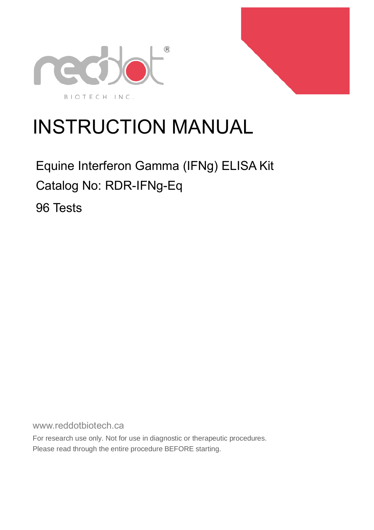



# INSTRUCTION MANUAL

## Equine Interferon Gamma (IFNg) ELISA Kit Catalog No: RDR-IFNg-Eq

96 Tests

www.reddotbiotech.ca

For research use only. Not for use in diagnostic or therapeutic procedures. Please read through the entire procedure BEFORE starting.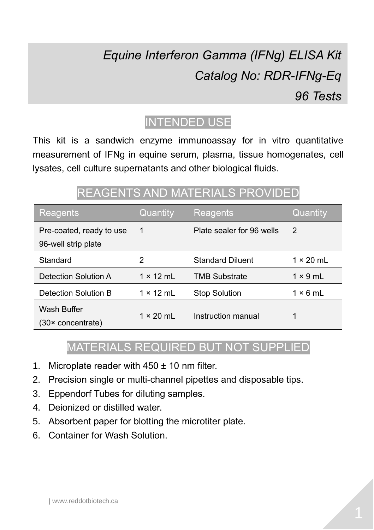# *Equine Interferon Gamma (IFNg) ELISA Kit Catalog No: RDR-IFNg-Eq 96 Tests*



This kit is a sandwich enzyme immunoassay for in vitro quantitative measurement of IFNg in equine serum, plasma, tissue homogenates, cell lysates, cell culture supernatants and other biological fluids.

### REAGENTS AND MATERIALS PROVIDED

| Reagents                                        | Quantity         | Reagents                  | Quantity         |
|-------------------------------------------------|------------------|---------------------------|------------------|
| Pre-coated, ready to use<br>96-well strip plate | 1                | Plate sealer for 96 wells | 2                |
| Standard                                        | 2                | <b>Standard Diluent</b>   | $1 \times 20$ ml |
| Detection Solution A                            | $1 \times 12$ ml | <b>TMB Substrate</b>      | $1 \times 9$ ml  |
| Detection Solution B                            | $1 \times 12$ ml | <b>Stop Solution</b>      | $1 \times 6$ ml  |
| Wash Buffer<br>(30× concentrate)                | $1 \times 20$ ml | Instruction manual        |                  |

#### MATERIALS REQUIRED BUT NOT SUPPLIED

- 1. Microplate reader with  $450 \pm 10$  nm filter.
- 2. Precision single or multi-channel pipettes and disposable tips.
- 3. Eppendorf Tubes for diluting samples.
- 4. Deionized or distilled water.
- 5. Absorbent paper for blotting the microtiter plate.
- 6. Container for Wash Solution.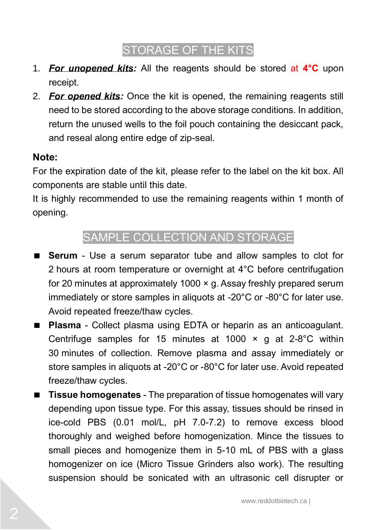### STORAGE OF THE KITS

- 1. *For unopened kits:* All the reagents should be stored at **4°C** upon receipt.
- 2. *For opened kits:* Once the kit is opened, the remaining reagents still need to be stored according to the above storage conditions. In addition, return the unused wells to the foil pouch containing the desiccant pack, and reseal along entire edge of zip-seal.

#### **Note:**

For the expiration date of the kit, please refer to the label on the kit box. All components are stable until this date.

It is highly recommended to use the remaining reagents within 1 month of opening.

#### SAMPLE COLLECTION AND STORAGE

- **Serum**  Use a serum separator tube and allow samples to clot for 2 hours at room temperature or overnight at 4°C before centrifugation for 20 minutes at approximately 1000 × g. Assay freshly prepared serum immediately or store samples in aliquots at -20°C or -80°C for later use. Avoid repeated freeze/thaw cycles.
- **Plasma**  Collect plasma using EDTA or heparin as an anticoagulant. Centrifuge samples for 15 minutes at 1000  $\times$  g at 2-8°C within 30 minutes of collection. Remove plasma and assay immediately or store samples in aliquots at -20°C or -80°C for later use. Avoid repeated freeze/thaw cycles.
- **Tissue homogenates** The preparation of tissue homogenates will vary depending upon tissue type. For this assay, tissues should be rinsed in ice-cold PBS (0.01 mol/L, pH 7.0-7.2) to remove excess blood thoroughly and weighed before homogenization. Mince the tissues to small pieces and homogenize them in 5-10 mL of PBS with a glass homogenizer on ice (Micro Tissue Grinders also work). The resulting suspension should be sonicated with an ultrasonic cell disrupter or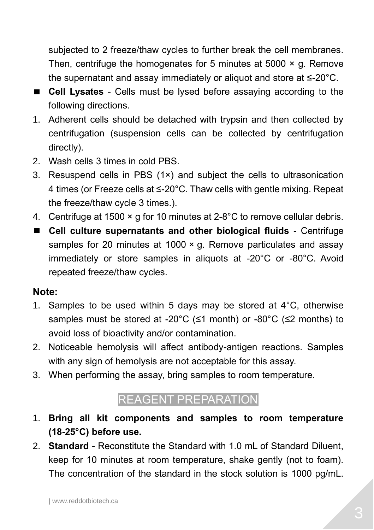subjected to 2 freeze/thaw cycles to further break the cell membranes. Then, centrifuge the homogenates for 5 minutes at 5000  $\times$  g. Remove the supernatant and assay immediately or aliquot and store at ≤-20°C.

- **Cell Lysates**  Cells must be lysed before assaying according to the following directions.
- 1. Adherent cells should be detached with trypsin and then collected by centrifugation (suspension cells can be collected by centrifugation directly).
- 2. Wash cells 3 times in cold PBS.
- 3. Resuspend cells in PBS (1×) and subject the cells to ultrasonication 4 times (or Freeze cells at ≤-20°C. Thaw cells with gentle mixing. Repeat the freeze/thaw cycle 3 times.).
- 4. Centrifuge at 1500 × g for 10 minutes at 2-8°C to remove cellular debris.
- **Cell culture supernatants and other biological fluids** Centrifuge samples for 20 minutes at 1000 x g. Remove particulates and assay immediately or store samples in aliquots at -20°C or -80°C. Avoid repeated freeze/thaw cycles.

#### **Note:**

- 1. Samples to be used within 5 days may be stored at 4°C, otherwise samples must be stored at -20°C (≤1 month) or -80°C (≤2 months) to avoid loss of bioactivity and/or contamination.
- 2. Noticeable hemolysis will affect antibody-antigen reactions. Samples with any sign of hemolysis are not acceptable for this assay.
- 3. When performing the assay, bring samples to room temperature.

#### REAGENT PREPARATION

- 1. **Bring all kit components and samples to room temperature (18-25°C) before use.**
- 2. **Standard** Reconstitute the Standard with 1.0 mL of Standard Diluent, keep for 10 minutes at room temperature, shake gently (not to foam). The concentration of the standard in the stock solution is 1000 pg/mL.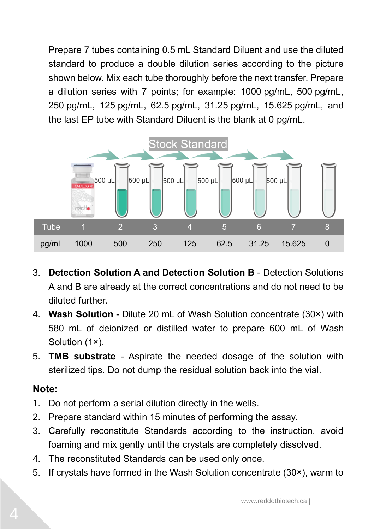Prepare 7 tubes containing 0.5 mL Standard Diluent and use the diluted standard to produce a double dilution series according to the picture shown below. Mix each tube thoroughly before the next transfer. Prepare a dilution series with 7 points; for example: 1000 pg/mL, 500 pg/mL, 250 pg/mL, 125 pg/mL, 62.5 pg/mL, 31.25 pg/mL, 15.625 pg/mL, and the last EP tube with Standard Diluent is the blank at 0 pg/mL.



- 3. **Detection Solution A and Detection Solution B** Detection Solutions A and B are already at the correct concentrations and do not need to be diluted further.
- 4. **Wash Solution** Dilute 20 mL of Wash Solution concentrate (30×) with 580 mL of deionized or distilled water to prepare 600 mL of Wash Solution (1×).
- 5. **TMB substrate** Aspirate the needed dosage of the solution with sterilized tips. Do not dump the residual solution back into the vial.

#### **Note:**

- 1. Do not perform a serial dilution directly in the wells.
- 2. Prepare standard within 15 minutes of performing the assay.
- 3. Carefully reconstitute Standards according to the instruction, avoid foaming and mix gently until the crystals are completely dissolved.
- 4. The reconstituted Standards can be used only once.
- 5. If crystals have formed in the Wash Solution concentrate (30×), warm to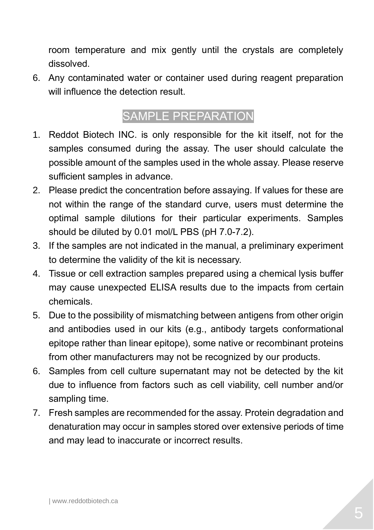room temperature and mix gently until the crystals are completely dissolved.

6. Any contaminated water or container used during reagent preparation will influence the detection result.

### SAMPLE PREPARATION

- 1. Reddot Biotech INC. is only responsible for the kit itself, not for the samples consumed during the assay. The user should calculate the possible amount of the samples used in the whole assay. Please reserve sufficient samples in advance.
- 2. Please predict the concentration before assaying. If values for these are not within the range of the standard curve, users must determine the optimal sample dilutions for their particular experiments. Samples should be diluted by 0.01 mol/L PBS (pH 7.0-7.2).
- 3. If the samples are not indicated in the manual, a preliminary experiment to determine the validity of the kit is necessary.
- 4. Tissue or cell extraction samples prepared using a chemical lysis buffer may cause unexpected ELISA results due to the impacts from certain chemicals.
- 5. Due to the possibility of mismatching between antigens from other origin and antibodies used in our kits (e.g., antibody targets conformational epitope rather than linear epitope), some native or recombinant proteins from other manufacturers may not be recognized by our products.
- 6. Samples from cell culture supernatant may not be detected by the kit due to influence from factors such as cell viability, cell number and/or sampling time.
- 7. Fresh samples are recommended for the assay. Protein degradation and denaturation may occur in samples stored over extensive periods of time and may lead to inaccurate or incorrect results.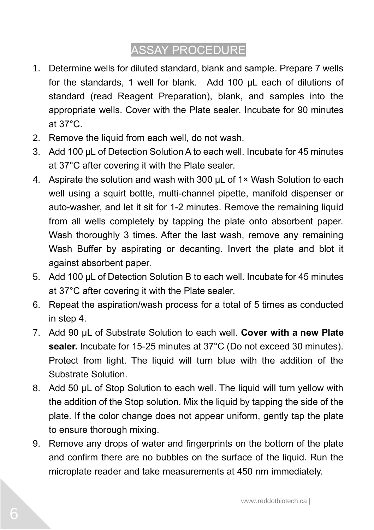### ASSAY PROCEDURE

- 1. Determine wells for diluted standard, blank and sample. Prepare 7 wells for the standards, 1 well for blank. Add 100 μL each of dilutions of standard (read Reagent Preparation), blank, and samples into the appropriate wells. Cover with the Plate sealer. Incubate for 90 minutes at 37°C.
- 2. Remove the liquid from each well, do not wash.
- 3. Add 100 µL of Detection Solution A to each well. Incubate for 45 minutes at 37°C after covering it with the Plate sealer.
- 4. Aspirate the solution and wash with 300  $\mu$ L of 1× Wash Solution to each well using a squirt bottle, multi-channel pipette, manifold dispenser or auto-washer, and let it sit for 1-2 minutes. Remove the remaining liquid from all wells completely by tapping the plate onto absorbent paper. Wash thoroughly 3 times. After the last wash, remove any remaining Wash Buffer by aspirating or decanting. Invert the plate and blot it against absorbent paper.
- 5. Add 100 μL of Detection Solution B to each well. Incubate for 45 minutes at 37°C after covering it with the Plate sealer.
- 6. Repeat the aspiration/wash process for a total of 5 times as conducted in step 4.
- 7. Add 90 μL of Substrate Solution to each well. **Cover with a new Plate sealer.** Incubate for 15-25 minutes at 37°C (Do not exceed 30 minutes). Protect from light. The liquid will turn blue with the addition of the Substrate Solution.
- 8. Add 50 μL of Stop Solution to each well. The liquid will turn yellow with the addition of the Stop solution. Mix the liquid by tapping the side of the plate. If the color change does not appear uniform, gently tap the plate to ensure thorough mixing.
- 9. Remove any drops of water and fingerprints on the bottom of the plate and confirm there are no bubbles on the surface of the liquid. Run the microplate reader and take measurements at 450 nm immediately.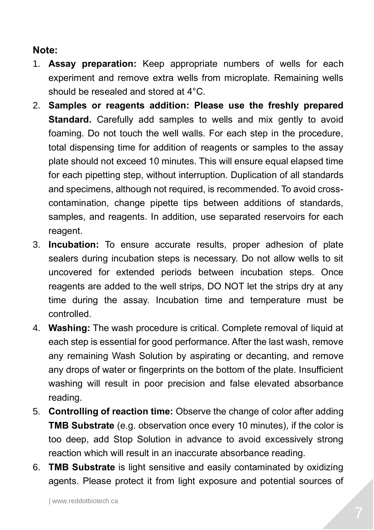#### **Note:**

- 1. **Assay preparation:** Keep appropriate numbers of wells for each experiment and remove extra wells from microplate. Remaining wells should be resealed and stored at 4°C.
- 2. **Samples or reagents addition: Please use the freshly prepared Standard.** Carefully add samples to wells and mix gently to avoid foaming. Do not touch the well walls. For each step in the procedure, total dispensing time for addition of reagents or samples to the assay plate should not exceed 10 minutes. This will ensure equal elapsed time for each pipetting step, without interruption. Duplication of all standards and specimens, although not required, is recommended. To avoid crosscontamination, change pipette tips between additions of standards, samples, and reagents. In addition, use separated reservoirs for each reagent.
- 3. **Incubation:** To ensure accurate results, proper adhesion of plate sealers during incubation steps is necessary. Do not allow wells to sit uncovered for extended periods between incubation steps. Once reagents are added to the well strips, DO NOT let the strips dry at any time during the assay. Incubation time and temperature must be controlled.
- 4. **Washing:** The wash procedure is critical. Complete removal of liquid at each step is essential for good performance. After the last wash, remove any remaining Wash Solution by aspirating or decanting, and remove any drops of water or fingerprints on the bottom of the plate. Insufficient washing will result in poor precision and false elevated absorbance reading.
- 5. **Controlling of reaction time:** Observe the change of color after adding **TMB Substrate** (e.g. observation once every 10 minutes), if the color is too deep, add Stop Solution in advance to avoid excessively strong reaction which will result in an inaccurate absorbance reading.
- 6. **TMB Substrate** is light sensitive and easily contaminated by oxidizing agents. Please protect it from light exposure and potential sources of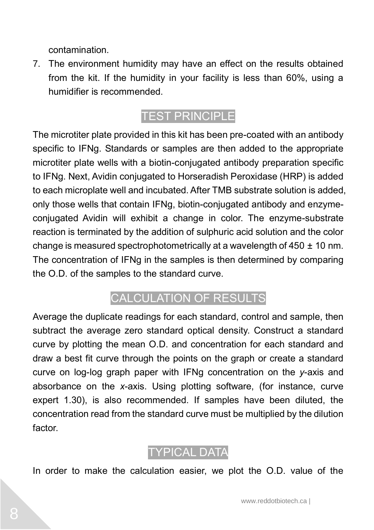contamination.

7. The environment humidity may have an effect on the results obtained from the kit. If the humidity in your facility is less than 60%, using a humidifier is recommended.

### TEST PRINCIPLE

The microtiter plate provided in this kit has been pre-coated with an antibody specific to IFNg. Standards or samples are then added to the appropriate microtiter plate wells with a biotin-conjugated antibody preparation specific to IFNg. Next, Avidin conjugated to Horseradish Peroxidase (HRP) is added to each microplate well and incubated. After TMB substrate solution is added, only those wells that contain IFNg, biotin-conjugated antibody and enzymeconjugated Avidin will exhibit a change in color. The enzyme-substrate reaction is terminated by the addition of sulphuric acid solution and the color change is measured spectrophotometrically at a wavelength of 450 ± 10 nm. The concentration of IFNg in the samples is then determined by comparing the O.D. of the samples to the standard curve.

#### CALCULATION OF RESULTS

Average the duplicate readings for each standard, control and sample, then subtract the average zero standard optical density. Construct a standard curve by plotting the mean O.D. and concentration for each standard and draw a best fit curve through the points on the graph or create a standard curve on log-log graph paper with IFNg concentration on the *y*-axis and absorbance on the *x*-axis. Using plotting software, (for instance, curve expert 1.30), is also recommended. If samples have been diluted, the concentration read from the standard curve must be multiplied by the dilution factor.



In order to make the calculation easier, we plot the O.D. value of the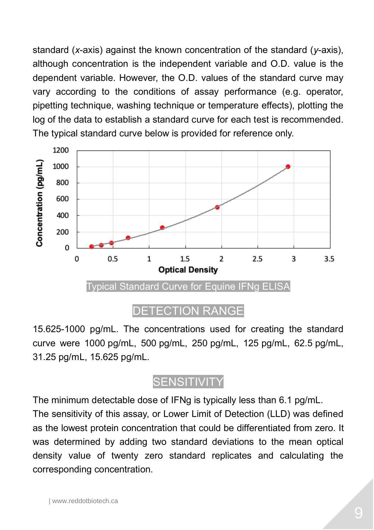standard (*x*-axis) against the known concentration of the standard (*y*-axis), although concentration is the independent variable and O.D. value is the dependent variable. However, the O.D. values of the standard curve may vary according to the conditions of assay performance (e.g. operator, pipetting technique, washing technique or temperature effects), plotting the log of the data to establish a standard curve for each test is recommended. The typical standard curve below is provided for reference only.



#### DETECTION RANGE

15.625-1000 pg/mL. The concentrations used for creating the standard curve were 1000 pg/mL, 500 pg/mL, 250 pg/mL, 125 pg/mL, 62.5 pg/mL, 31.25 pg/mL, 15.625 pg/mL.

#### **SENSITIVITY**

The minimum detectable dose of IFNg is typically less than 6.1 pg/mL.

The sensitivity of this assay, or Lower Limit of Detection (LLD) was defined as the lowest protein concentration that could be differentiated from zero. It was determined by adding two standard deviations to the mean optical density value of twenty zero standard replicates and calculating the corresponding concentration.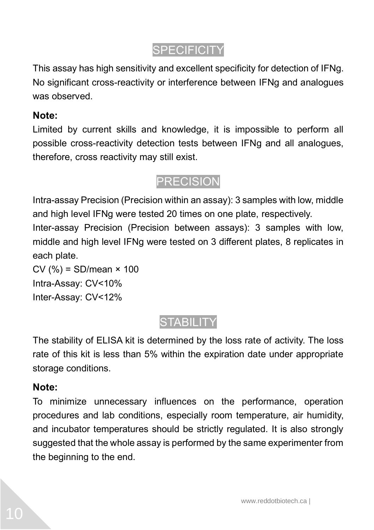### **SPECIFICITY**

This assay has high sensitivity and excellent specificity for detection of IFNg. No significant cross-reactivity or interference between IFNg and analogues was observed.

#### **Note:**

Limited by current skills and knowledge, it is impossible to perform all possible cross-reactivity detection tests between IFNg and all analogues, therefore, cross reactivity may still exist.

#### PRECISION

Intra-assay Precision (Precision within an assay): 3 samples with low, middle and high level IFNg were tested 20 times on one plate, respectively. Inter-assay Precision (Precision between assays): 3 samples with low, middle and high level IFNg were tested on 3 different plates, 8 replicates in each plate.

 $CV(%) = SD/mean \times 100$ Intra-Assay: CV<10% Inter-Assay: CV<12%

### **STABILITY**

The stability of ELISA kit is determined by the loss rate of activity. The loss rate of this kit is less than 5% within the expiration date under appropriate storage conditions.

#### **Note:**

To minimize unnecessary influences on the performance, operation procedures and lab conditions, especially room temperature, air humidity, and incubator temperatures should be strictly regulated. It is also strongly suggested that the whole assay is performed by the same experimenter from the beginning to the end.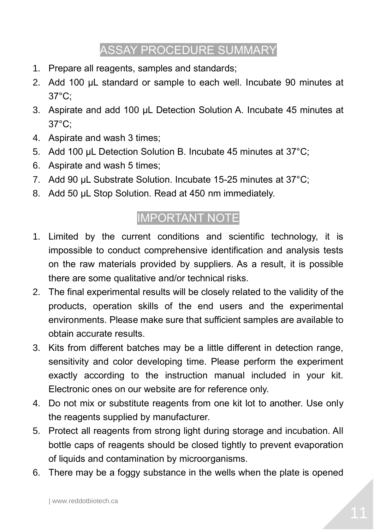#### ASSAY PROCEDURE SUMMARY

- 1. Prepare all reagents, samples and standards;
- 2. Add 100 µL standard or sample to each well. Incubate 90 minutes at 37°C;
- 3. Aspirate and add 100 µL Detection Solution A. Incubate 45 minutes at 37°C;
- 4. Aspirate and wash 3 times;
- 5. Add 100 µL Detection Solution B. Incubate 45 minutes at 37°C;
- 6. Aspirate and wash 5 times;
- 7. Add 90 µL Substrate Solution. Incubate 15-25 minutes at 37°C;
- 8. Add 50 µL Stop Solution. Read at 450 nm immediately.

#### IMPORTANT NOTE

- 1. Limited by the current conditions and scientific technology, it is impossible to conduct comprehensive identification and analysis tests on the raw materials provided by suppliers. As a result, it is possible there are some qualitative and/or technical risks.
- 2. The final experimental results will be closely related to the validity of the products, operation skills of the end users and the experimental environments. Please make sure that sufficient samples are available to obtain accurate results.
- 3. Kits from different batches may be a little different in detection range, sensitivity and color developing time. Please perform the experiment exactly according to the instruction manual included in your kit. Electronic ones on our website are for reference only.
- 4. Do not mix or substitute reagents from one kit lot to another. Use only the reagents supplied by manufacturer.
- 5. Protect all reagents from strong light during storage and incubation. All bottle caps of reagents should be closed tightly to prevent evaporation of liquids and contamination by microorganisms.
- 6. There may be a foggy substance in the wells when the plate is opened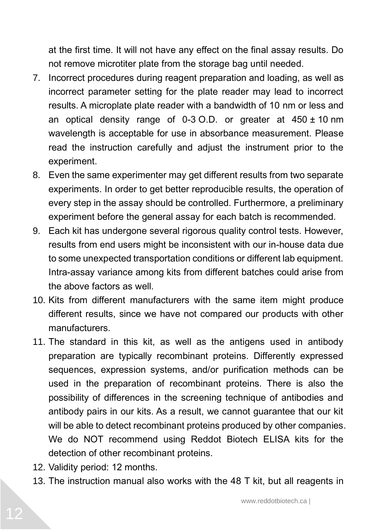at the first time. It will not have any effect on the final assay results. Do not remove microtiter plate from the storage bag until needed.

- 7. Incorrect procedures during reagent preparation and loading, as well as incorrect parameter setting for the plate reader may lead to incorrect results. A microplate plate reader with a bandwidth of 10 nm or less and an optical density range of  $0-3$  O.D. or greater at  $450 \pm 10$  nm wavelength is acceptable for use in absorbance measurement. Please read the instruction carefully and adjust the instrument prior to the experiment.
- 8. Even the same experimenter may get different results from two separate experiments. In order to get better reproducible results, the operation of every step in the assay should be controlled. Furthermore, a preliminary experiment before the general assay for each batch is recommended.
- 9. Each kit has undergone several rigorous quality control tests. However, results from end users might be inconsistent with our in-house data due to some unexpected transportation conditions or different lab equipment. Intra-assay variance among kits from different batches could arise from the above factors as well.
- 10. Kits from different manufacturers with the same item might produce different results, since we have not compared our products with other manufacturers.
- 11. The standard in this kit, as well as the antigens used in antibody preparation are typically recombinant proteins. Differently expressed sequences, expression systems, and/or purification methods can be used in the preparation of recombinant proteins. There is also the possibility of differences in the screening technique of antibodies and antibody pairs in our kits. As a result, we cannot guarantee that our kit will be able to detect recombinant proteins produced by other companies. We do NOT recommend using Reddot Biotech ELISA kits for the detection of other recombinant proteins.
- 12. Validity period: 12 months.
- 13. The instruction manual also works with the 48 T kit, but all reagents in